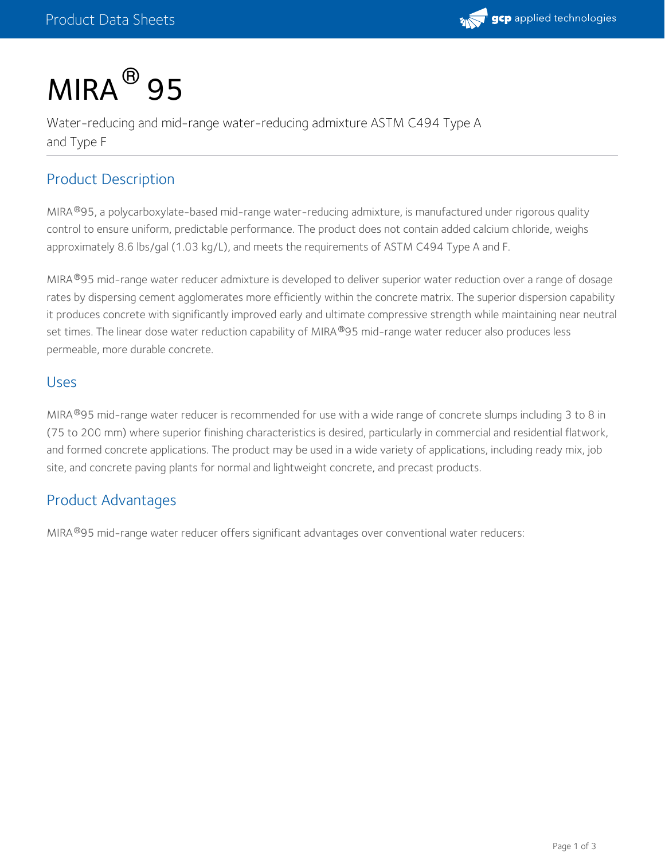

# $MIRA<sup>®</sup>$  95

Water-reducing and mid-range water-reducing admixture ASTM C494 Type A and Type F

# Product Description

MIRA®95, a polycarboxylate-based mid-range water-reducing admixture, is manufactured under rigorous quality control to ensure uniform, predictable performance. The product does not contain added calcium chloride, weighs approximately 8.6 lbs/gal (1.03 kg/L), and meets the requirements of ASTM C494 Type A and F.

MIRA®95 mid-range water reducer admixture is developed to deliver superior water reduction over a range of dosage rates by dispersing cement agglomerates more efficiently within the concrete matrix. The superior dispersion capability it produces concrete with significantly improved early and ultimate compressive strength while maintaining near neutral set times. The linear dose water reduction capability of MIRA®95 mid-range water reducer also produces less permeable, more durable concrete.

#### Uses

MIRA®95 mid-range water reducer is recommended for use with a wide range of concrete slumps including 3 to 8 in (75 to 200 mm) where superior finishing characteristics is desired, particularly in commercial and residential flatwork, and formed concrete applications. The product may be used in a wide variety of applications, including ready mix, job site, and concrete paving plants for normal and lightweight concrete, and precast products.

# Product Advantages

MIRA<sup>®</sup>95 mid-range water reducer offers significant advantages over conventional water reducers: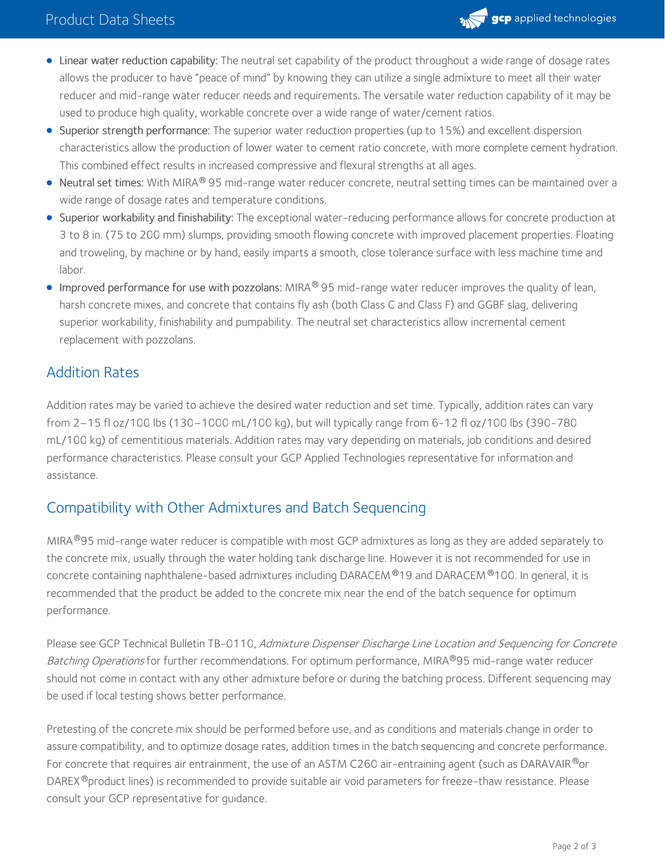

- Linear water reduction capability: The neutral set capability of the product throughout a wide range of dosage rates allows the producer to have "peace of mind" by knowing they can utilize a single admixture to meet all their water reducer and mid-range water reducer needs and requirements. The versatile water reduction capability of it may be used to produce high quality, workable concrete over a wide range of water/cement ratios.
- Superior strength performance: The superior water reduction properties (up to 15%) and excellent dispersion characteristics allow the production of lower water to cement ratio concrete, with more complete cement hydration. This combined effect results in increased compressive and flexural strengths at all ages.
- <code>Neutral</code> set times: With MIRA $^\circledR$  95 mid-range water reducer concrete, neutral setting times can be maintained over a wide range of dosage rates and temperature conditions.
- Superior workability and finishability: The exceptional water-reducing performance allows for concrete production at 3 to 8 in. (75 to 200 mm) slumps, providing smooth flowing concrete with improved placement properties. Floating and troweling, by machine or by hand, easily imparts a smooth, close tolerance surface with less machine time and labor.
- Improved performance for use with pozzolans: MIRA $^\circledR$ 95 mid-range water reducer improves the quality of lean, harsh concrete mixes, and concrete that contains fly ash (both Class C and Class F) and GGBF slag, delivering superior workability, finishability and pumpability. The neutral set characteristics allow incremental cement replacement with pozzolans.

# Addition Rates

Addition rates may be varied to achieve the desired water reduction and set time. Typically, addition rates can vary from 2–15 fl oz/100 lbs (130–1000 mL/100 kg), but will typically range from 6-12 fl oz/100 lbs (390-780 mL/100 kg) of cementitious materials. Addition rates may vary depending on materials, job conditions and desired performance characteristics. Please consult your GCP Applied Technologies representative for information and assistance.

## Compatibility with Other Admixtures and Batch Sequencing

MIRA®95 mid-range water reducer is compatible with most GCP admixtures as long as they are added separately to the concrete mix, usually through the water holding tank discharge line. However it is not recommended for use in concrete containing naphthalene-based admixtures including DARACEM ®19 and DARACEM ®100. In general, it is recommended that the product be added to the concrete mix near the end of the batch sequence for optimum performance.

Please see GCP Technical Bulletin TB-0110, Admixture Dispenser Discharge Line Location and Sequencing for Concrete *Batching Operations* for further recommendations. For optimum performance, MIRA®95 mid-range water reducer should not come in contact with any other admixture before or during the batching process. Different sequencing may be used if local testing shows better performance.

Pretesting of the concrete mix should be performed before use, and as conditions and materials change in order to assure compatibility, and to optimize dosage rates, addition times in the batch sequencing and concrete performance. For concrete that requires air entrainment, the use of an ASTM C260 air-entraining agent (such as DARAVAIR®or DAREX®product lines) is recommended to provide suitable air void parameters for freeze-thaw resistance. Please consult your GCP representative for guidance.